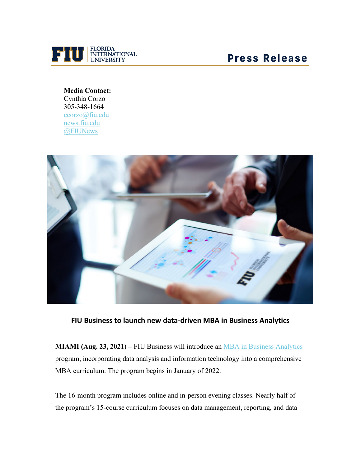

## **Press Release**

**Media Contact:** Cynthia Corzo 305-348-1664 [ccorzo@fiu.edu](mailto:ccorzo@fiu.edu) [news.fiu.edu](http://news.fiu.edu/) [@FIUNews](https://urldefense.com/v3/__http:/twitter.com/FIUNews__;!!FjuHKAHQs5udqho!d_9AOqCuC3GAYK_MoWWZi_WwtdFHbWkQ_mGpN13QU7-5PezmvuglNKBD-IjBqO0$)



**FIU Business to launch new data-driven MBA in Business Analytics**

**MIAMI (Aug. 23, 2021)** – FIU Business will introduce an [MBA in Business Analytics](https://business.fiu.edu/graduate/business-analytics-mba/index.cfm) program, incorporating data analysis and information technology into a comprehensive MBA curriculum. The program begins in January of 2022.

The 16-month program includes online and in-person evening classes. Nearly half of the program's 15-course curriculum focuses on data management, reporting, and data